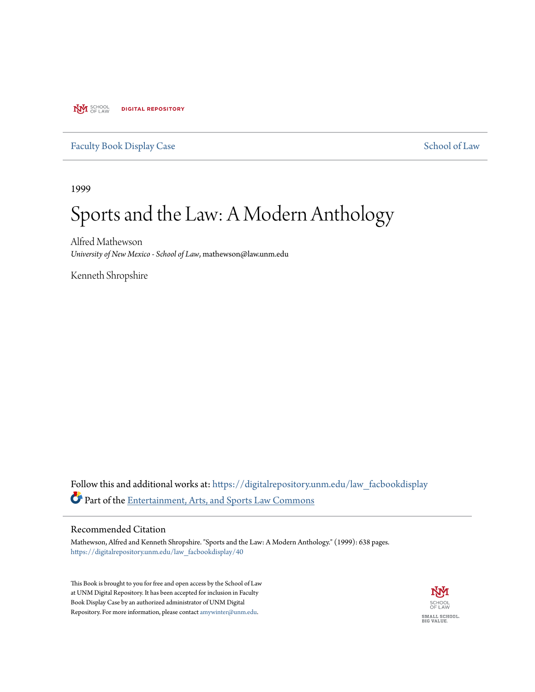**NVI** SCHOOL **DIGITAL REPOSITORY** 

### [Faculty Book Display Case](https://digitalrepository.unm.edu/law_facbookdisplay?utm_source=digitalrepository.unm.edu%2Flaw_facbookdisplay%2F40&utm_medium=PDF&utm_campaign=PDFCoverPages) [School of Law](https://digitalrepository.unm.edu/law?utm_source=digitalrepository.unm.edu%2Flaw_facbookdisplay%2F40&utm_medium=PDF&utm_campaign=PDFCoverPages)

1999

## Sports and the Law: A Modern Anthology

Alfred Mathewson *University of New Mexico - School of Law*, mathewson@law.unm.edu

Kenneth Shropshire

Follow this and additional works at: [https://digitalrepository.unm.edu/law\\_facbookdisplay](https://digitalrepository.unm.edu/law_facbookdisplay?utm_source=digitalrepository.unm.edu%2Flaw_facbookdisplay%2F40&utm_medium=PDF&utm_campaign=PDFCoverPages) Part of the [Entertainment, Arts, and Sports Law Commons](http://network.bepress.com/hgg/discipline/893?utm_source=digitalrepository.unm.edu%2Flaw_facbookdisplay%2F40&utm_medium=PDF&utm_campaign=PDFCoverPages)

#### Recommended Citation

Mathewson, Alfred and Kenneth Shropshire. "Sports and the Law: A Modern Anthology." (1999): 638 pages. [https://digitalrepository.unm.edu/law\\_facbookdisplay/40](https://digitalrepository.unm.edu/law_facbookdisplay/40?utm_source=digitalrepository.unm.edu%2Flaw_facbookdisplay%2F40&utm_medium=PDF&utm_campaign=PDFCoverPages)

This Book is brought to you for free and open access by the School of Law at UNM Digital Repository. It has been accepted for inclusion in Faculty Book Display Case by an authorized administrator of UNM Digital Repository. For more information, please contact [amywinter@unm.edu](mailto:amywinter@unm.edu).

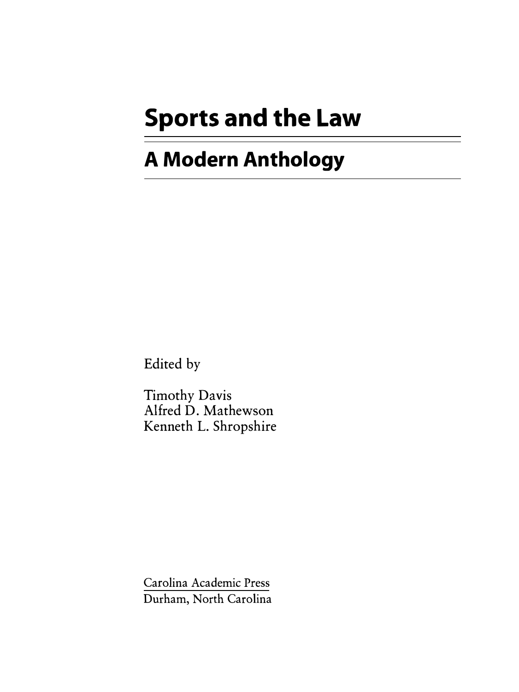# **Sports and the Law**

## **A Modern Anthology**

Edited by

Timothy Davis Alfred D. Mathewson Kenneth L. Shropshire

Carolina Academic Press Durham, North Carolina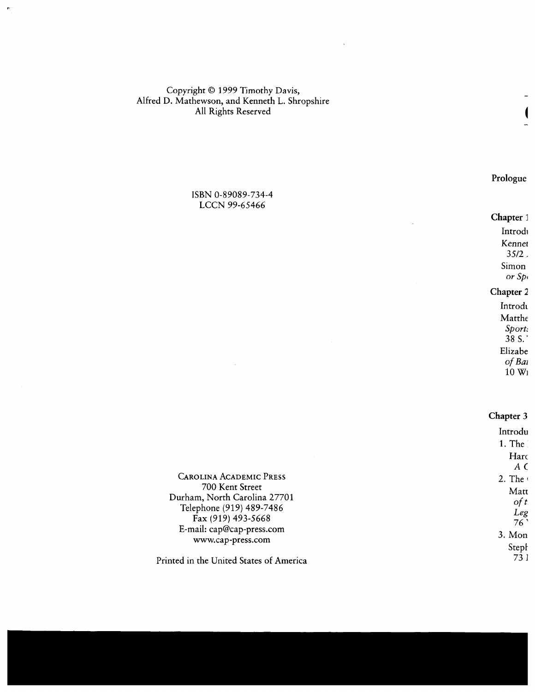Copyright © 1999 Timothy Davis, Alfred D. Mathewson, and Kenneth L. Shropshire All Rights Reserved

> ISBN 0-89089-734-4 LCCN 99-65466

CAROLINA ACADEMIC PRESS 700 Kent Street Durham, North Carolina 27701 Telephone (919) 489-7486 Fax (919) 493-5668 E-mail: cap@cap-press.com www.cap-press.com

Printed in the United States of America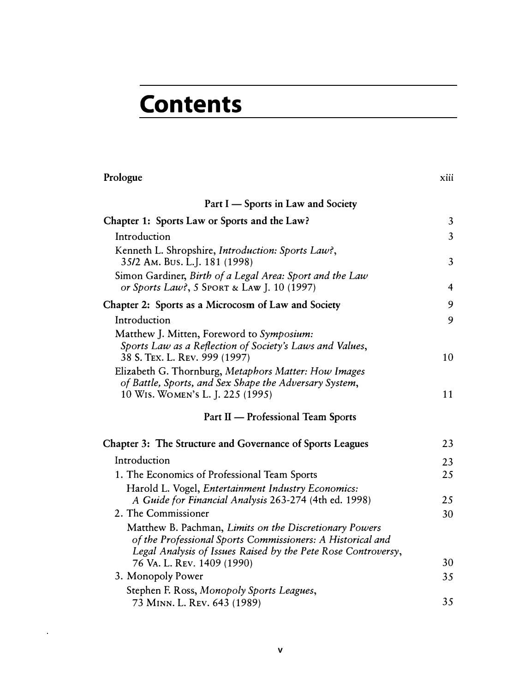# **Contents**

| Prologue                                                                                                                                                                              | xiii           |
|---------------------------------------------------------------------------------------------------------------------------------------------------------------------------------------|----------------|
| Part I – Sports in Law and Society                                                                                                                                                    |                |
| Chapter 1: Sports Law or Sports and the Law?                                                                                                                                          | $\overline{3}$ |
| Introduction                                                                                                                                                                          | $\overline{3}$ |
| Kenneth L. Shropshire, Introduction: Sports Law?,<br>35/2 Am. Bus. L.J. 181 (1998)                                                                                                    | $\overline{3}$ |
| Simon Gardiner, Birth of a Legal Area: Sport and the Law<br>or Sports Law?, 5 SPORT & LAW J. 10 (1997)                                                                                | 4              |
| Chapter 2: Sports as a Microcosm of Law and Society                                                                                                                                   | 9              |
| Introduction                                                                                                                                                                          | 9              |
| Matthew J. Mitten, Foreword to Symposium:<br>Sports Law as a Reflection of Society's Laws and Values,<br>38 S. TEX. L. REV. 999 (1997)                                                | 10             |
| Elizabeth G. Thornburg, Metaphors Matter: How Images<br>of Battle, Sports, and Sex Shape the Adversary System,<br>10 WIS. WOMEN'S L. J. 225 (1995)                                    | 11             |
| Part II - Professional Team Sports                                                                                                                                                    |                |
| Chapter 3: The Structure and Governance of Sports Leagues                                                                                                                             | 23             |
| Introduction                                                                                                                                                                          | 23             |
| 1. The Economics of Professional Team Sports                                                                                                                                          | 25             |
| Harold L. Vogel, Entertainment Industry Economics:<br>A Guide for Financial Analysis 263-274 (4th ed. 1998)                                                                           | 25             |
| 2. The Commissioner                                                                                                                                                                   | 30             |
| Matthew B. Pachman, Limits on the Discretionary Powers<br>of the Professional Sports Commissioners: A Historical and<br>Legal Analysis of Issues Raised by the Pete Rose Controversy, |                |
| 76 VA. L. REV. 1409 (1990)                                                                                                                                                            | 30             |
| 3. Monopoly Power                                                                                                                                                                     | 35             |
| Stephen F. Ross, Monopoly Sports Leagues,<br>73 MINN. L. REV. 643 (1989)                                                                                                              | 35             |

 $\bar{z}$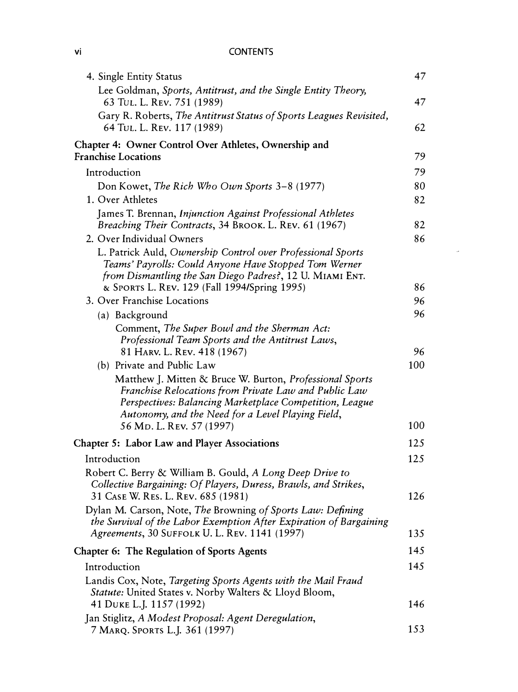#### vi CONTENTS

| 4. Single Entity Status                                                                                                                                                                                                           | 47  |
|-----------------------------------------------------------------------------------------------------------------------------------------------------------------------------------------------------------------------------------|-----|
| Lee Goldman, Sports, Antitrust, and the Single Entity Theory,<br>63 TUL. L. REV. 751 (1989)                                                                                                                                       | 47  |
| Gary R. Roberts, The Antitrust Status of Sports Leagues Revisited,<br>64 TUL. L. REV. 117 (1989)                                                                                                                                  | 62  |
| Chapter 4: Owner Control Over Athletes, Ownership and<br><b>Franchise Locations</b>                                                                                                                                               | 79  |
| Introduction                                                                                                                                                                                                                      | 79  |
| Don Kowet, The Rich Who Own Sports 3-8 (1977)                                                                                                                                                                                     | 80  |
| 1. Over Athletes                                                                                                                                                                                                                  | 82  |
| James T. Brennan, Injunction Against Professional Athletes                                                                                                                                                                        |     |
| Breaching Their Contracts, 34 BROOK. L. REV. 61 (1967)                                                                                                                                                                            | 82  |
| 2. Over Individual Owners                                                                                                                                                                                                         | 86  |
| L. Patrick Auld, Ownership Control over Professional Sports<br>Teams' Payrolls: Could Anyone Have Stopped Tom Werner                                                                                                              |     |
| from Dismantling the San Diego Padres?, 12 U. MIAMI ENT.<br>& SPORTS L. REV. 129 (Fall 1994/Spring 1995)                                                                                                                          | 86  |
| 3. Over Franchise Locations                                                                                                                                                                                                       | 96  |
| (a) Background                                                                                                                                                                                                                    | 96  |
| Comment, The Super Bowl and the Sherman Act:                                                                                                                                                                                      |     |
| Professional Team Sports and the Antitrust Laws,                                                                                                                                                                                  |     |
| 81 HARV. L. REV. 418 (1967)                                                                                                                                                                                                       | 96  |
| (b) Private and Public Law                                                                                                                                                                                                        | 100 |
| Matthew J. Mitten & Bruce W. Burton, Professional Sports<br>Franchise Relocations from Private Law and Public Law<br>Perspectives: Balancing Marketplace Competition, League<br>Autonomy, and the Need for a Level Playing Field, |     |
| 56 Mp. L. Rev. 57 (1997)                                                                                                                                                                                                          | 100 |
| Chapter 5: Labor Law and Player Associations                                                                                                                                                                                      | 125 |
| Introduction                                                                                                                                                                                                                      | 125 |
| Robert C. Berry & William B. Gould, A Long Deep Drive to                                                                                                                                                                          |     |
| Collective Bargaining: Of Players, Duress, Brawls, and Strikes,<br>31 CASE W. RES. L. REV. 685 (1981)                                                                                                                             | 126 |
| Dylan M. Carson, Note, The Browning of Sports Law: Defining<br>the Survival of the Labor Exemption After Expiration of Bargaining                                                                                                 |     |
| Agreements, 30 SUFFOLK U. L. REV. 1141 (1997)                                                                                                                                                                                     | 135 |
| Chapter 6: The Regulation of Sports Agents                                                                                                                                                                                        | 145 |
| Introduction                                                                                                                                                                                                                      | 145 |
| Landis Cox, Note, Targeting Sports Agents with the Mail Fraud<br>Statute: United States v. Norby Walters & Lloyd Bloom,                                                                                                           |     |
| 41 DUKE L.J. 1157 (1992)                                                                                                                                                                                                          | 146 |
| Jan Stiglitz, A Modest Proposal: Agent Deregulation,<br>7 MARQ. SPORTS L.J. 361 (1997)                                                                                                                                            | 153 |

 $\sim$   $\omega$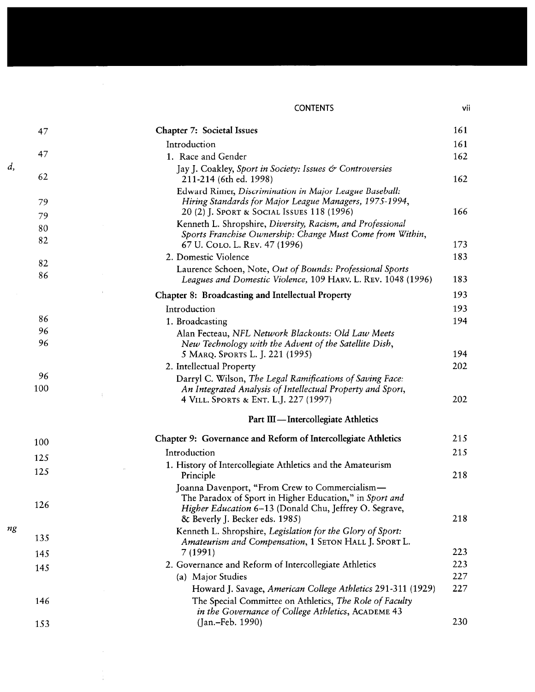#### **CONTENTS**

| ٦<br>÷ | I |  |
|--------|---|--|

| Chapter 7: Societal Issues                                                                                                                                          | 161 |
|---------------------------------------------------------------------------------------------------------------------------------------------------------------------|-----|
| Introduction                                                                                                                                                        | 161 |
| 1. Race and Gender                                                                                                                                                  | 162 |
| Jay J. Coakley, Sport in Society: Issues & Controversies<br>211-214 (6th ed. 1998)                                                                                  | 162 |
| Edward Rimer, Discrimination in Major League Baseball:<br>Hiring Standards for Major League Managers, 1975-1994,<br>20 (2) J. SPORT & SOCIAL ISSUES 118 (1996)      | 166 |
| Kenneth L. Shropshire, Diversity, Racism, and Professional<br>Sports Franchise Ownership: Change Must Come from Within,                                             |     |
| 67 U. COLO. L. REV. 47 (1996)                                                                                                                                       | 173 |
| 2. Domestic Violence                                                                                                                                                | 183 |
| Laurence Schoen, Note, Out of Bounds: Professional Sports<br>Leagues and Domestic Violence, 109 HARV. L. REV. 1048 (1996)                                           | 183 |
| Chapter 8: Broadcasting and Intellectual Property                                                                                                                   | 193 |
| Introduction                                                                                                                                                        | 193 |
| 1. Broadcasting                                                                                                                                                     | 194 |
| Alan Fecteau, NFL Network Blackouts: Old Law Meets                                                                                                                  |     |
| New Technology with the Advent of the Satellite Dish,                                                                                                               |     |
| 5 MARQ. SPORTS L. J. 221 (1995)                                                                                                                                     | 194 |
| 2. Intellectual Property                                                                                                                                            | 202 |
| Darryl C. Wilson, The Legal Ramifications of Saving Face:                                                                                                           |     |
| An Integrated Analysis of Intellectual Property and Sport,<br>4 VILL. SPORTS & ENT. L.J. 227 (1997)                                                                 | 202 |
| Part III - Intercollegiate Athletics                                                                                                                                |     |
|                                                                                                                                                                     |     |
| Chapter 9: Governance and Reform of Intercollegiate Athletics                                                                                                       | 215 |
| Introduction                                                                                                                                                        | 215 |
| 1. History of Intercollegiate Athletics and the Amateurism                                                                                                          |     |
| Principle                                                                                                                                                           | 218 |
| Joanna Davenport, "From Crew to Commercialism-<br>The Paradox of Sport in Higher Education," in Sport and<br>Higher Education 6-13 (Donald Chu, Jeffrey O. Segrave, |     |
| & Beverly J. Becker eds. 1985)                                                                                                                                      | 218 |
| Kenneth L. Shropshire, Legislation for the Glory of Sport:                                                                                                          |     |
| Amateurism and Compensation, 1 SETON HALL J. SPORT L.<br>7 (1991)                                                                                                   | 223 |
| 2. Governance and Reform of Intercollegiate Athletics                                                                                                               | 223 |
| (a) Major Studies                                                                                                                                                   | 227 |
| Howard J. Savage, American College Athletics 291-311 (1929)                                                                                                         | 227 |
| The Special Committee on Athletics, The Role of Faculty<br>in the Governance of College Athletics, ACADEME 43                                                       |     |
| (Jan.-Feb. 1990)                                                                                                                                                    | 230 |

 $\sim 40$  km s  $^{-1}$ 

 $\mathcal{A}^{\mathcal{A}}$ 

 $\bar{r}$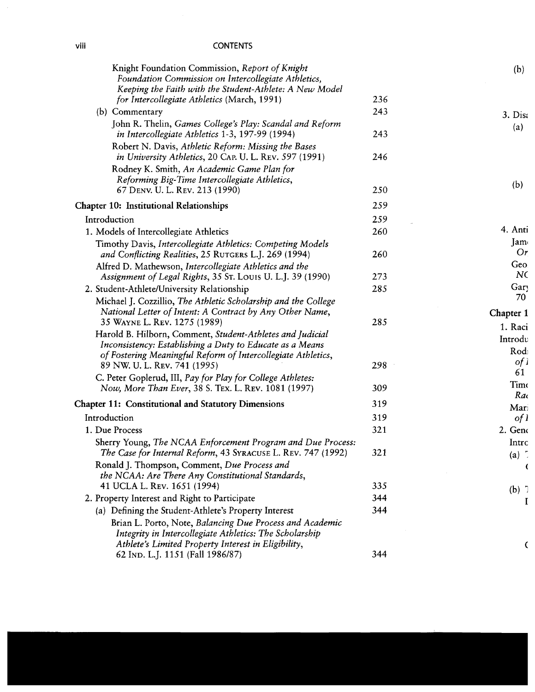## **CONTENTS**

| Knight Foundation Commission, Report of Knight<br>Foundation Commission on Intercollegiate Athletics,<br>Keeping the Faith with the Student-Athlete: A New Model                                                      |     |
|-----------------------------------------------------------------------------------------------------------------------------------------------------------------------------------------------------------------------|-----|
| for Intercollegiate Athletics (March, 1991)                                                                                                                                                                           | 236 |
| (b) Commentary                                                                                                                                                                                                        | 243 |
| John R. Thelin, Games College's Play: Scandal and Reform<br>in Intercollegiate Athletics 1-3, 197-99 (1994)                                                                                                           | 243 |
| Robert N. Davis, Athletic Reform: Missing the Bases<br>in University Athletics, 20 CAP. U. L. REV. 597 (1991)                                                                                                         | 246 |
| Rodney K. Smith, An Academic Game Plan for<br>Reforming Big-Time Intercollegiate Athletics,<br>67 DENV. U. L. REV. 213 (1990)                                                                                         | 250 |
|                                                                                                                                                                                                                       | 259 |
| <b>Chapter 10: Institutional Relationships</b>                                                                                                                                                                        |     |
| Introduction                                                                                                                                                                                                          | 259 |
| 1. Models of Intercollegiate Athletics                                                                                                                                                                                | 260 |
| Timothy Davis, Intercollegiate Athletics: Competing Models<br>and Conflicting Realities, 25 RUTGERS L.J. 269 (1994)                                                                                                   | 260 |
| Alfred D. Mathewson, Intercollegiate Athletics and the                                                                                                                                                                |     |
| Assignment of Legal Rights, 35 St. Louis U. L.J. 39 (1990)                                                                                                                                                            | 273 |
| 2. Student-Athlete/University Relationship                                                                                                                                                                            | 285 |
| Michael J. Cozzillio, The Athletic Scholarship and the College                                                                                                                                                        |     |
| National Letter of Intent: A Contract by Any Other Name,<br>35 WAYNE L. REV. 1275 (1989)                                                                                                                              | 285 |
| Harold B. Hilborn, Comment, Student-Athletes and Judicial<br>Inconsistency: Establishing a Duty to Educate as a Means<br>of Fostering Meaningful Reform of Intercollegiate Athletics,<br>89 NW. U. L. REV. 741 (1995) | 298 |
| C. Peter Goplerud, III, Pay for Play for College Athletes:                                                                                                                                                            |     |
| Now, More Than Ever, 38 S. TEX. L. REV. 1081 (1997)                                                                                                                                                                   | 309 |
| <b>Chapter 11: Constitutional and Statutory Dimensions</b>                                                                                                                                                            | 319 |
| Introduction                                                                                                                                                                                                          | 319 |
| 1. Due Process                                                                                                                                                                                                        | 321 |
| Sherry Young, The NCAA Enforcement Program and Due Process:<br>The Case for Internal Reform, 43 SYRACUSE L. REV. 747 (1992)                                                                                           | 321 |
| Ronald J. Thompson, Comment, Due Process and<br>the NCAA: Are There Any Constitutional Standards,                                                                                                                     |     |
| 41 UCLA L. REV. 1651 (1994)                                                                                                                                                                                           | 335 |
| 2. Property Interest and Right to Participate                                                                                                                                                                         | 344 |
| (a) Defining the Student-Athlete's Property Interest                                                                                                                                                                  | 344 |
| Brian L. Porto, Note, Balancing Due Process and Academic<br>Integrity in Intercollegiate Athletics: The Scholarship<br>Athlete's Limited Property Interest in Eligibility,                                            |     |
| 62 IND. L.J. 1151 (Fall 1986/87)                                                                                                                                                                                      | 344 |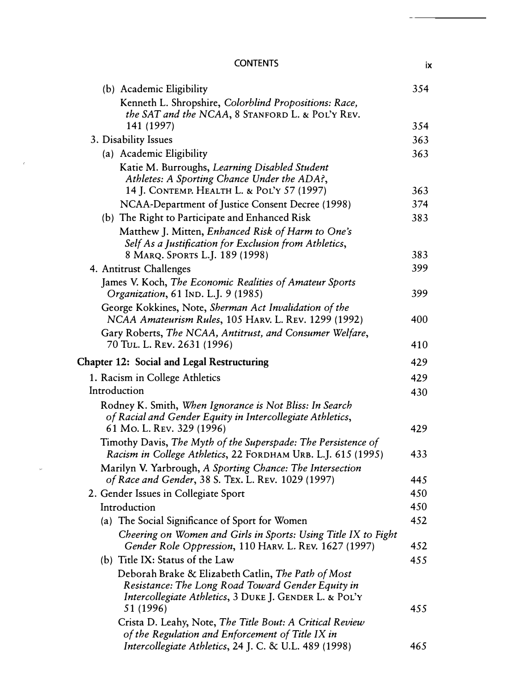## CONTENTS ix

 $\hat{r}$ 

 $\omega$ 

| (b) Academic Eligibility                                       | 354 |
|----------------------------------------------------------------|-----|
| Kenneth L. Shropshire, Colorblind Propositions: Race,          |     |
| the SAT and the NCAA, 8 STANFORD L. & POL'Y REV.               |     |
| 141 (1997)                                                     | 354 |
| 3. Disability Issues                                           | 363 |
| (a) Academic Eligibility                                       | 363 |
| Katie M. Burroughs, Learning Disabled Student                  |     |
| Athletes: A Sporting Chance Under the ADA?,                    |     |
| 14 J. CONTEMP. HEALTH L. & POL'Y 57 (1997)                     | 363 |
| NCAA-Department of Justice Consent Decree (1998)               | 374 |
| (b) The Right to Participate and Enhanced Risk                 | 383 |
| Matthew J. Mitten, Enhanced Risk of Harm to One's              |     |
| Self As a Justification for Exclusion from Athletics,          |     |
| 8 MARQ. SPORTS L.J. 189 (1998)                                 | 383 |
| 4. Antitrust Challenges                                        | 399 |
| James V. Koch, The Economic Realities of Amateur Sports        |     |
| Organization, 61 IND. L.J. 9 (1985)                            | 399 |
| George Kokkines, Note, Sherman Act Invalidation of the         |     |
| NCAA Amateurism Rules, 105 HARV. L. REV. 1299 (1992)           | 400 |
| Gary Roberts, The NCAA, Antitrust, and Consumer Welfare,       |     |
| 70 TUL. L. REV. 2631 (1996)                                    | 410 |
| <b>Chapter 12: Social and Legal Restructuring</b>              | 429 |
| 1. Racism in College Athletics                                 | 429 |
| Introduction                                                   | 430 |
| Rodney K. Smith, When Ignorance is Not Bliss: In Search        |     |
| of Racial and Gender Equity in Intercollegiate Athletics,      |     |
| 61 Mo. L. Rev. 329 (1996)                                      | 429 |
| Timothy Davis, The Myth of the Superspade: The Persistence of  |     |
| Racism in College Athletics, 22 FORDHAM URB. L.J. 615 (1995)   | 433 |
| Marilyn V. Yarbrough, A Sporting Chance: The Intersection      |     |
| of Race and Gender, 38 S. TEX. L. REV. 1029 (1997)             | 445 |
| 2. Gender Issues in Collegiate Sport                           | 450 |
| Introduction                                                   | 450 |
| (a) The Social Significance of Sport for Women                 | 452 |
| Cheering on Women and Girls in Sports: Using Title IX to Fight |     |
| Gender Role Oppression, 110 HARV. L. REV. 1627 (1997)          | 452 |
| (b) Title IX: Status of the Law                                | 455 |
| Deborah Brake & Elizabeth Catlin, The Path of Most             |     |
| Resistance: The Long Road Toward Gender Equity in              |     |
| Intercollegiate Athletics, 3 DUKE J. GENDER L. & POL'Y         |     |
| 51 (1996)                                                      | 455 |
| Crista D. Leahy, Note, The Title Bout: A Critical Review       |     |
| of the Regulation and Enforcement of Title IX in               |     |
| Intercollegiate Athletics, 24 J. C. & U.L. 489 (1998)          | 465 |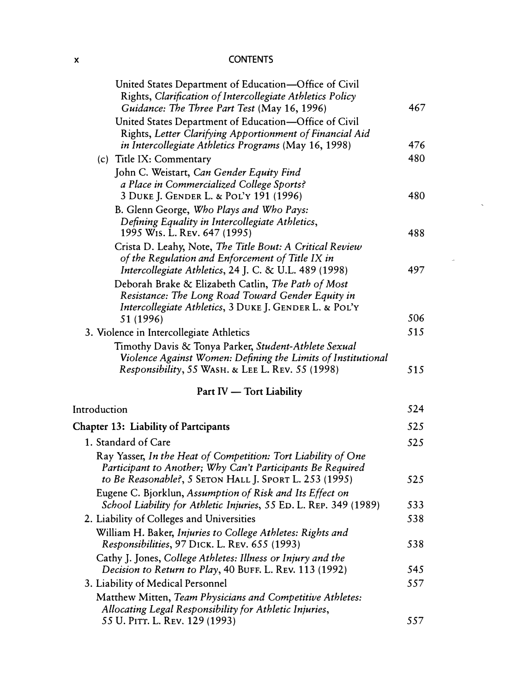#### **X CONTENTS**

| United States Department of Education—Office of Civil                                                                  |     |
|------------------------------------------------------------------------------------------------------------------------|-----|
| Rights, Clarification of Intercollegiate Athletics Policy                                                              |     |
| Guidance: The Three Part Test (May 16, 1996)                                                                           | 467 |
| United States Department of Education-Office of Civil                                                                  |     |
| Rights, Letter Clarifying Apportionment of Financial Aid                                                               |     |
| in Intercollegiate Athletics Programs (May 16, 1998)                                                                   | 476 |
| (c) Title IX: Commentary                                                                                               | 480 |
| John C. Weistart, Can Gender Equity Find                                                                               |     |
| a Place in Commercialized College Sports?                                                                              |     |
| 3 DUKE J. GENDER L. & POL'Y 191 (1996)                                                                                 | 480 |
| B. Glenn George, Who Plays and Who Pays:                                                                               |     |
| Defining Equality in Intercollegiate Athletics,                                                                        |     |
| 1995 W <sub>15</sub> . L. Rev. 647 (1995)                                                                              | 488 |
| Crista D. Leahy, Note, The Title Bout: A Critical Review                                                               |     |
| of the Regulation and Enforcement of Title IX in                                                                       | 497 |
| Intercollegiate Athletics, 24 J. C. & U.L. 489 (1998)                                                                  |     |
| Deborah Brake & Elizabeth Catlin, The Path of Most                                                                     |     |
| Resistance: The Long Road Toward Gender Equity in<br>Intercollegiate Athletics, 3 DUKE J. GENDER L. & POL'Y            |     |
| 51 (1996)                                                                                                              | 506 |
| 3. Violence in Intercollegiate Athletics                                                                               | 515 |
| Timothy Davis & Tonya Parker, Student-Athlete Sexual                                                                   |     |
| Violence Against Women: Defining the Limits of Institutional                                                           |     |
| Responsibility, 55 WASH. & LEE L. REV. 55 (1998)                                                                       | 515 |
| Part IV - Tort Liability                                                                                               |     |
| Introduction                                                                                                           | 524 |
|                                                                                                                        |     |
| <b>Chapter 13: Liability of Partcipants</b>                                                                            | 525 |
| 1. Standard of Care                                                                                                    | 525 |
| Ray Yasser, In the Heat of Competition: Tort Liability of One                                                          |     |
| Participant to Another; Why Can't Participants Be Required                                                             |     |
| to Be Reasonable?, 5 SETON HALL J. SPORT L. 253 (1995)                                                                 | 525 |
| Eugene C. Bjorklun, Assumption of Risk and Its Effect on                                                               | 533 |
| School Liability for Athletic Injuries, 55 ED. L. REP. 349 (1989)                                                      |     |
| 2. Liability of Colleges and Universities                                                                              | 538 |
| William H. Baker, Injuries to College Athletes: Rights and                                                             | 538 |
| Responsibilities, 97 DICK. L. REV. 655 (1993)                                                                          |     |
| Cathy J. Jones, College Athletes: Illness or Injury and the<br>Decision to Return to Play, 40 BUFF. L. REV. 113 (1992) | 545 |
|                                                                                                                        | 557 |
| 3. Liability of Medical Personnel                                                                                      |     |
| Matthew Mitten, Team Physicians and Competitive Athletes:<br>Allocating Legal Responsibility for Athletic Injuries,    |     |
| 55 U. PITT. L. REV. 129 (1993)                                                                                         | 557 |
|                                                                                                                        |     |

 $\ddot{\phantom{1}}$ 

 $\hat{\mathbf{z}}$